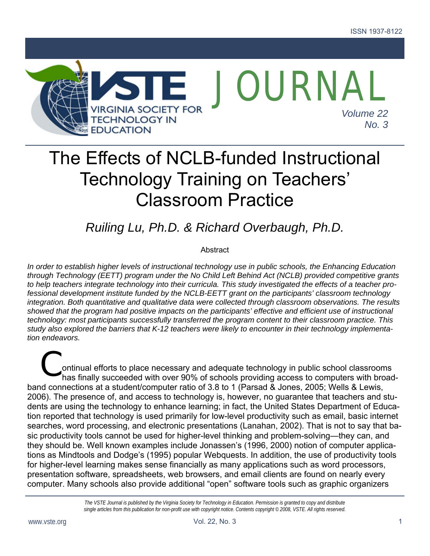

# The Effects of NCLB-funded Instructional Technology Training on Teachers' Classroom Practice

# *Ruiling Lu, Ph.D. & Richard Overbaugh, Ph.D.*

#### **Abstract**

*In order to establish higher levels of instructional technology use in public schools, the Enhancing Education through Technology (EETT) program under the No Child Left Behind Act (NCLB) provided competitive grants to help teachers integrate technology into their curricula. This study investigated the effects of a teacher professional development institute funded by the NCLB-EETT grant on the participants' classroom technology integration. Both quantitative and qualitative data were collected through classroom observations. The results showed that the program had positive impacts on the participants' effective and efficient use of instructional technology: most participants successfully transferred the program content to their classroom practice. This study also explored the barriers that K-12 teachers were likely to encounter in their technology implementation endeavors.* 

ontinual efforts to place necessary and adequate technology in public school classrooms Continual efforts to place necessary and adequate technology in public school classrooms<br>has finally succeeded with over 90% of schools providing access to computers with broadband connections at a student/computer ratio of 3.8 to 1 (Parsad & Jones, 2005; Wells & Lewis, 2006). The presence of, and access to technology is, however, no guarantee that teachers and students are using the technology to enhance learning; in fact, the United States Department of Education reported that technology is used primarily for low-level productivity such as email, basic internet searches, word processing, and electronic presentations (Lanahan, 2002). That is not to say that basic productivity tools cannot be used for higher-level thinking and problem-solving—they can, and they should be. Well known examples include Jonassen's (1996, 2000) notion of computer applications as Mindtools and Dodge's (1995) popular Webquests. In addition, the use of productivity tools for higher-level learning makes sense financially as many applications such as word processors, presentation software, spreadsheets, web browsers, and email clients are found on nearly every computer. Many schools also provide additional "open" software tools such as graphic organizers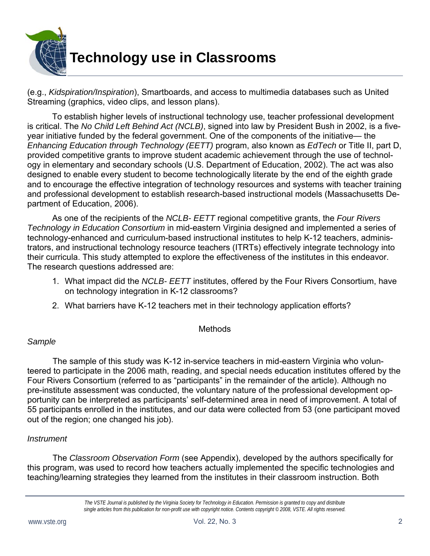

(e.g., *Kidspiration/Inspiration*), Smartboards, and access to multimedia databases such as United Streaming (graphics, video clips, and lesson plans).

To establish higher levels of instructional technology use, teacher professional development is critical. The *No Child Left Behind Act (NCLB)*, signed into law by President Bush in 2002, is a fiveyear initiative funded by the federal government. One of the components of the initiative— the *Enhancing Education through Technology (EETT)* program, also known as *EdTech* or Title II, part D, provided competitive grants to improve student academic achievement through the use of technology in elementary and secondary schools (U.S. Department of Education, 2002). The act was also designed to enable every student to become technologically literate by the end of the eighth grade and to encourage the effective integration of technology resources and systems with teacher training and professional development to establish research-based instructional models (Massachusetts Department of Education, 2006).

As one of the recipients of the *NCLB- EETT* regional competitive grants, the *Four Rivers Technology in Education Consortium* in mid-eastern Virginia designed and implemented a series of technology-enhanced and curriculum-based instructional institutes to help K-12 teachers, administrators, and instructional technology resource teachers (ITRTs) effectively integrate technology into their curricula. This study attempted to explore the effectiveness of the institutes in this endeavor. The research questions addressed are:

- 1. What impact did the *NCLB- EETT* institutes, offered by the Four Rivers Consortium, have on technology integration in K-12 classrooms?
- 2. What barriers have K-12 teachers met in their technology application efforts?

#### Methods

#### *Sample*

 The sample of this study was K-12 in-service teachers in mid-eastern Virginia who volunteered to participate in the 2006 math, reading, and special needs education institutes offered by the Four Rivers Consortium (referred to as "participants" in the remainder of the article). Although no pre-institute assessment was conducted, the voluntary nature of the professional development opportunity can be interpreted as participants' self-determined area in need of improvement. A total of 55 participants enrolled in the institutes, and our data were collected from 53 (one participant moved out of the region; one changed his job).

#### *Instrument*

 The *Classroom Observation Form* (see Appendix), developed by the authors specifically for this program, was used to record how teachers actually implemented the specific technologies and teaching/learning strategies they learned from the institutes in their classroom instruction. Both

*The VSTE Journal is published by the Virginia Society for Technology in Education. Permission is granted to copy and distribute single articles from this publication for non-profit use with copyright notice. Contents copyright © 2008, VSTE. All rights reserved.*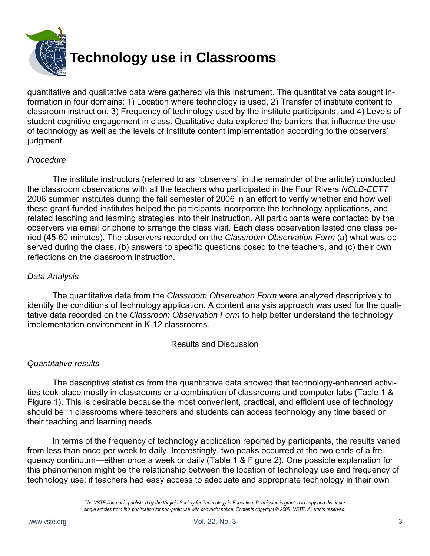

quantitative and qualitative data were gathered via this instrument. The quantitative data sought information in four domains: 1) Location where technology is used, 2) Transfer of institute content to classroom instruction, 3) Frequency of technology used by the institute participants, and 4) Levels of student cognitive engagement in class. Qualitative data explored the barriers that influence the use of technology as well as the levels of institute content implementation according to the observers' judgment.

#### *Procedure*

 The institute instructors (referred to as "observers" in the remainder of the article) conducted the classroom observations with all the teachers who participated in the Four Rivers *NCLB-EETT*  2006 summer institutes during the fall semester of 2006 in an effort to verify whether and how well these grant-funded institutes helped the participants incorporate the technology applications, and related teaching and learning strategies into their instruction. All participants were contacted by the observers via email or phone to arrange the class visit. Each class observation lasted one class period (45-60 minutes). The observers recorded on the *Classroom Observation Form* (a) what was observed during the class, (b) answers to specific questions posed to the teachers, and (c) their own reflections on the classroom instruction.

#### *Data Analysis*

 The quantitative data from the *Classroom Observation Form* were analyzed descriptively to identify the conditions of technology application. A content analysis approach was used for the qualitative data recorded on the *Classroom Observation Form* to help better understand the technology implementation environment in K-12 classrooms.

#### Results and Discussion

#### *Quantitative results*

 The descriptive statistics from the quantitative data showed that technology-enhanced activities took place mostly in classrooms or a combination of classrooms and computer labs (Table 1 & Figure 1). This is desirable because the most convenient, practical, and efficient use of technology should be in classrooms where teachers and students can access technology any time based on their teaching and learning needs.

 In terms of the frequency of technology application reported by participants, the results varied from less than once per week to daily. Interestingly, two peaks occurred at the two ends of a frequency continuum—either once a week or daily (Table 1 & Figure 2). One possible explanation for this phenomenon might be the relationship between the location of technology use and frequency of technology use: if teachers had easy access to adequate and appropriate technology in their own

*The VSTE Journal is published by the Virginia Society for Technology in Education. Permission is granted to copy and distribute single articles from this publication for non-profit use with copyright notice. Contents copyright © 2008, VSTE. All rights reserved.*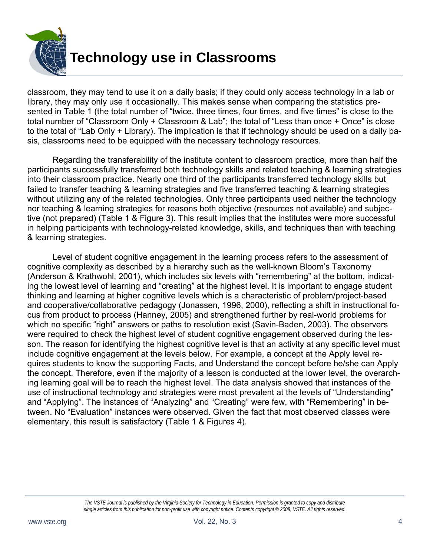

classroom, they may tend to use it on a daily basis; if they could only access technology in a lab or library, they may only use it occasionally. This makes sense when comparing the statistics presented in Table 1 (the total number of "twice, three times, four times, and five times" is close to the total number of "Classroom Only + Classroom & Lab"; the total of "Less than once + Once" is close to the total of "Lab Only + Library). The implication is that if technology should be used on a daily basis, classrooms need to be equipped with the necessary technology resources.

 Regarding the transferability of the institute content to classroom practice, more than half the participants successfully transferred both technology skills and related teaching & learning strategies into their classroom practice. Nearly one third of the participants transferred technology skills but failed to transfer teaching & learning strategies and five transferred teaching & learning strategies without utilizing any of the related technologies. Only three participants used neither the technology nor teaching & learning strategies for reasons both objective (resources not available) and subjective (not prepared) (Table 1 & Figure 3). This result implies that the institutes were more successful in helping participants with technology-related knowledge, skills, and techniques than with teaching & learning strategies.

 Level of student cognitive engagement in the learning process refers to the assessment of cognitive complexity as described by a hierarchy such as the well-known Bloom's Taxonomy (Anderson & Krathwohl, 2001), which includes six levels with "remembering" at the bottom, indicating the lowest level of learning and "creating" at the highest level. It is important to engage student thinking and learning at higher cognitive levels which is a characteristic of problem/project-based and cooperative/collaborative pedagogy (Jonassen, 1996, 2000), reflecting a shift in instructional focus from product to process (Hanney, 2005) and strengthened further by real-world problems for which no specific "right" answers or paths to resolution exist (Savin-Baden, 2003). The observers were required to check the highest level of student cognitive engagement observed during the lesson. The reason for identifying the highest cognitive level is that an activity at any specific level must include cognitive engagement at the levels below. For example, a concept at the Apply level requires students to know the supporting Facts, and Understand the concept before he/she can Apply the concept. Therefore, even if the majority of a lesson is conducted at the lower level, the overarching learning goal will be to reach the highest level. The data analysis showed that instances of the use of instructional technology and strategies were most prevalent at the levels of "Understanding" and "Applying". The instances of "Analyzing" and "Creating" were few, with "Remembering" in between. No "Evaluation" instances were observed. Given the fact that most observed classes were elementary, this result is satisfactory (Table 1 & Figures 4).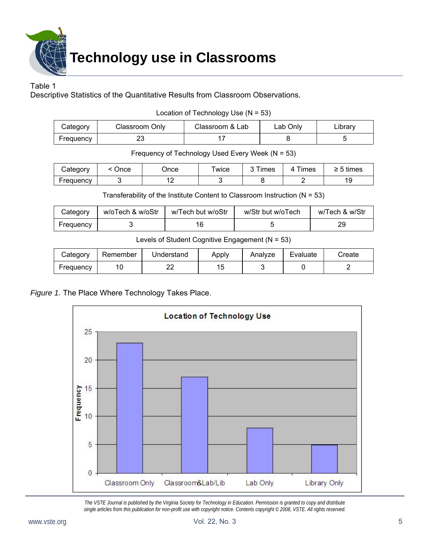

**Technology use in Classrooms** 

#### Table 1

Descriptive Statistics of the Quantitative Results from Classroom Observations.

| Location of Technology Use $(N = 53)$ |  |
|---------------------------------------|--|
|---------------------------------------|--|

| Category  | Classroom Only | Classroom & Lab | Lab Only | ∟ibrary |
|-----------|----------------|-----------------|----------|---------|
| Frequency | ΔU             |                 |          |         |

Frequency of Technology Used Every Week (N = 53)

| Category  | Jnce | Jnce | wice | $\sim$<br>imes | <b>Times</b><br>4 | → 5 times |
|-----------|------|------|------|----------------|-------------------|-----------|
| Frequency |      | . .  |      |                |                   | ັ         |

Transferability of the Institute Content to Classroom Instruction  $(N = 53)$ 

| Category  | w/oTech & w/oStr | w/Tech but w/oStr | w/Str but w/oTech | w/Tech & w/Str |
|-----------|------------------|-------------------|-------------------|----------------|
| Frequency |                  |                   |                   | 29             |

Levels of Student Cognitive Engagement  $(N = 53)$ 

| Categorv  | Remember | Understand | Apply | Analyze | Evaluate | Create |
|-----------|----------|------------|-------|---------|----------|--------|
| Frequency |          | _ _        | л.    |         |          |        |

#### *Figure 1.* The Place Where Technology Takes Place.

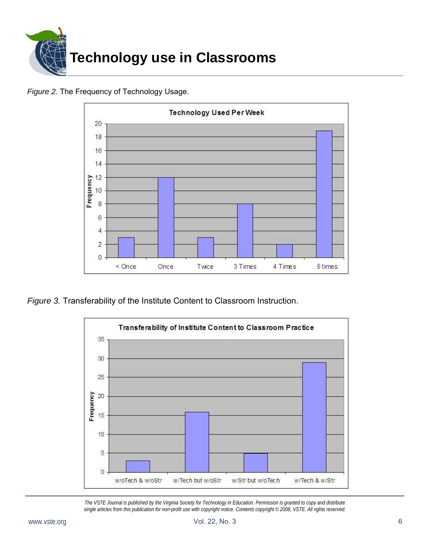

*Figure 2.* The Frequency of Technology Usage.



*Figure 3.* Transferability of the Institute Content to Classroom Instruction.

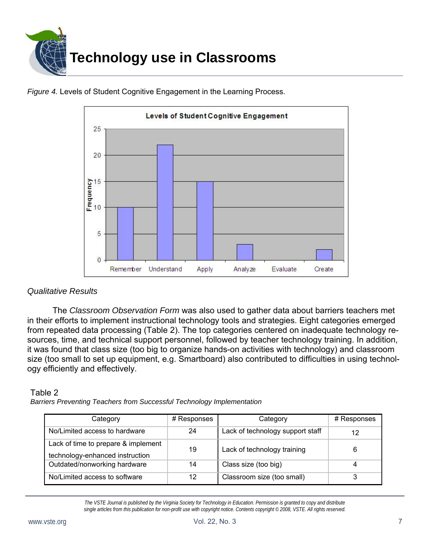

*Figure 4.* Levels of Student Cognitive Engagement in the Learning Process.



#### *Qualitative Results*

 The *Classroom Observation Form* was also used to gather data about barriers teachers met in their efforts to implement instructional technology tools and strategies. Eight categories emerged from repeated data processing (Table 2). The top categories centered on inadequate technology resources, time, and technical support personnel, followed by teacher technology training. In addition, it was found that class size (too big to organize hands-on activities with technology) and classroom size (too small to set up equipment, e.g. Smartboard) also contributed to difficulties in using technology efficiently and effectively.

#### Table 2

*Barriers Preventing Teachers from Successful Technology Implementation* 

| Category                            | # Responses | Category                         | # Responses |
|-------------------------------------|-------------|----------------------------------|-------------|
| No/Limited access to hardware       | 24          | Lack of technology support staff | 12          |
| Lack of time to prepare & implement | 19          | Lack of technology training      | 6           |
| technology-enhanced instruction     |             |                                  |             |
| Outdated/nonworking hardware        | 14          | Class size (too big)             |             |
| No/Limited access to software       | 12          | Classroom size (too small)       |             |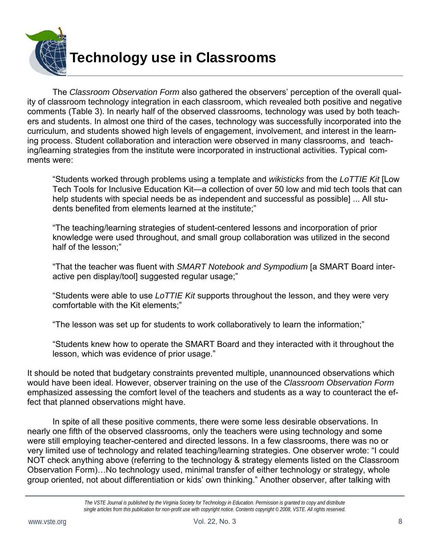

 The *Classroom Observation Form* also gathered the observers' perception of the overall quality of classroom technology integration in each classroom, which revealed both positive and negative comments (Table 3). In nearly half of the observed classrooms, technology was used by both teachers and students. In almost one third of the cases, technology was successfully incorporated into the curriculum, and students showed high levels of engagement, involvement, and interest in the learning process. Student collaboration and interaction were observed in many classrooms, and teaching/learning strategies from the institute were incorporated in instructional activities. Typical comments were:

"Students worked through problems using a template and *wikisticks* from the *LoTTIE Kit* [Low Tech Tools for Inclusive Education Kit—a collection of over 50 low and mid tech tools that can help students with special needs be as independent and successful as possible] ... All students benefited from elements learned at the institute;"

"The teaching/learning strategies of student-centered lessons and incorporation of prior knowledge were used throughout, and small group collaboration was utilized in the second half of the lesson;"

"That the teacher was fluent with *SMART Notebook and Sympodium* [a SMART Board interactive pen display/tool] suggested regular usage;"

"Students were able to use *LoTTIE Kit* supports throughout the lesson, and they were very comfortable with the Kit elements;"

"The lesson was set up for students to work collaboratively to learn the information;"

"Students knew how to operate the SMART Board and they interacted with it throughout the lesson, which was evidence of prior usage."

It should be noted that budgetary constraints prevented multiple, unannounced observations which would have been ideal. However, observer training on the use of the *Classroom Observation Form*  emphasized assessing the comfort level of the teachers and students as a way to counteract the effect that planned observations might have.

 In spite of all these positive comments, there were some less desirable observations. In nearly one fifth of the observed classrooms, only the teachers were using technology and some were still employing teacher-centered and directed lessons. In a few classrooms, there was no or very limited use of technology and related teaching/learning strategies. One observer wrote: "I could NOT check anything above (referring to the technology & strategy elements listed on the Classroom Observation Form)…No technology used, minimal transfer of either technology or strategy, whole group oriented, not about differentiation or kids' own thinking." Another observer, after talking with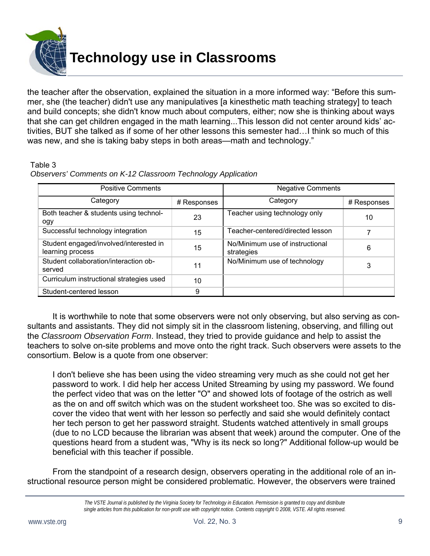

the teacher after the observation, explained the situation in a more informed way: "Before this summer, she (the teacher) didn't use any manipulatives [a kinesthetic math teaching strategy] to teach and build concepts; she didn't know much about computers, either; now she is thinking about ways that she can get children engaged in the math learning...This lesson did not center around kids' activities, BUT she talked as if some of her other lessons this semester had…I think so much of this was new, and she is taking baby steps in both areas—math and technology."

#### Table 3

|  | Observers' Comments on K-12 Classroom Technology Application |  |
|--|--------------------------------------------------------------|--|
|  |                                                              |  |

| <b>Positive Comments</b>                                   |             | <b>Negative Comments</b>                      |             |  |
|------------------------------------------------------------|-------------|-----------------------------------------------|-------------|--|
| Category                                                   | # Responses | Category                                      | # Responses |  |
| Both teacher & students using technol-<br>ogy              | 23          | Teacher using technology only                 | 10          |  |
| Successful technology integration                          | 15          | Teacher-centered/directed lesson              |             |  |
| Student engaged/involved/interested in<br>learning process | 15          | No/Minimum use of instructional<br>strategies | 6           |  |
| Student collaboration/interaction ob-<br>served            | 11          | No/Minimum use of technology                  | 3           |  |
| Curriculum instructional strategies used                   | 10          |                                               |             |  |
| Student-centered lesson                                    | 9           |                                               |             |  |

 It is worthwhile to note that some observers were not only observing, but also serving as consultants and assistants. They did not simply sit in the classroom listening, observing, and filling out the *Classroom Observation Form*. Instead, they tried to provide guidance and help to assist the teachers to solve on-site problems and move onto the right track. Such observers were assets to the consortium. Below is a quote from one observer:

I don't believe she has been using the video streaming very much as she could not get her password to work. I did help her access United Streaming by using my password. We found the perfect video that was on the letter "O" and showed lots of footage of the ostrich as well as the on and off switch which was on the student worksheet too. She was so excited to discover the video that went with her lesson so perfectly and said she would definitely contact her tech person to get her password straight. Students watched attentively in small groups (due to no LCD because the librarian was absent that week) around the computer. One of the questions heard from a student was, "Why is its neck so long?" Additional follow-up would be beneficial with this teacher if possible.

 From the standpoint of a research design, observers operating in the additional role of an instructional resource person might be considered problematic. However, the observers were trained

*The VSTE Journal is published by the Virginia Society for Technology in Education. Permission is granted to copy and distribute single articles from this publication for non-profit use with copyright notice. Contents copyright © 2008, VSTE. All rights reserved.*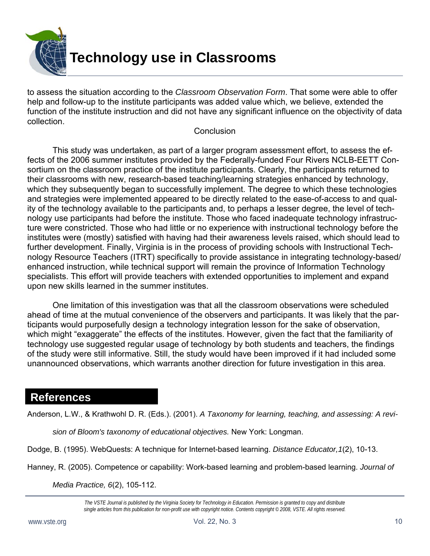

to assess the situation according to the *Classroom Observation Form*. That some were able to offer help and follow-up to the institute participants was added value which, we believe, extended the function of the institute instruction and did not have any significant influence on the objectivity of data collection.

#### **Conclusion**

 This study was undertaken, as part of a larger program assessment effort, to assess the effects of the 2006 summer institutes provided by the Federally-funded Four Rivers NCLB-EETT Consortium on the classroom practice of the institute participants. Clearly, the participants returned to their classrooms with new, research-based teaching/learning strategies enhanced by technology, which they subsequently began to successfully implement. The degree to which these technologies and strategies were implemented appeared to be directly related to the ease-of-access to and quality of the technology available to the participants and, to perhaps a lesser degree, the level of technology use participants had before the institute. Those who faced inadequate technology infrastructure were constricted. Those who had little or no experience with instructional technology before the institutes were (mostly) satisfied with having had their awareness levels raised, which should lead to further development. Finally, Virginia is in the process of providing schools with Instructional Technology Resource Teachers (ITRT) specifically to provide assistance in integrating technology-based/ enhanced instruction, while technical support will remain the province of Information Technology specialists. This effort will provide teachers with extended opportunities to implement and expand upon new skills learned in the summer institutes.

 One limitation of this investigation was that all the classroom observations were scheduled ahead of time at the mutual convenience of the observers and participants. It was likely that the participants would purposefully design a technology integration lesson for the sake of observation, which might "exaggerate" the effects of the institutes. However, given the fact that the familiarity of technology use suggested regular usage of technology by both students and teachers, the findings of the study were still informative. Still, the study would have been improved if it had included some unannounced observations, which warrants another direction for future investigation in this area.

### **References**

Anderson, L.W., & Krathwohl D. R. (Eds.). (2001). *A Taxonomy for learning, teaching, and assessing: A revi-*

*sion of Bloom's taxonomy of educational objectives.* New York: Longman.

Dodge, B. (1995). WebQuests: A technique for Internet-based learning. *Distance Educator,1*(2), 10-13.

Hanney, R. (2005). Competence or capability: Work-based learning and problem-based learning. *Journal of* 

*Media Practice, 6*(2), 105-112.

*The VSTE Journal is published by the Virginia Society for Technology in Education. Permission is granted to copy and distribute single articles from this publication for non-profit use with copyright notice. Contents copyright © 2008, VSTE. All rights reserved.*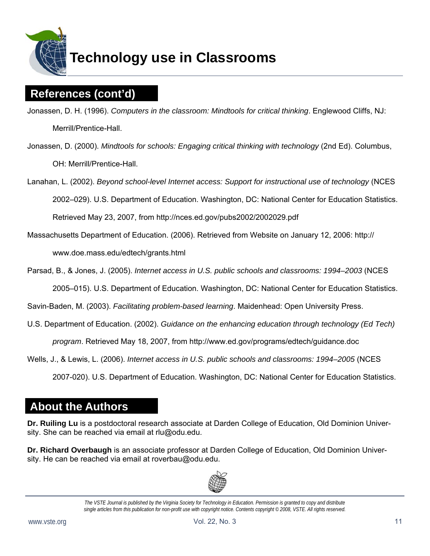

# **Technology use in Classrooms**

## **References (cont'd)**

- Jonassen, D. H. (1996). *Computers in the classroom: Mindtools for critical thinking*. Englewood Cliffs, NJ: Merrill/Prentice-Hall.
- Jonassen, D. (2000). *Mindtools for schools: Engaging critical thinking with technology* (2nd Ed). Columbus, OH: Merrill/Prentice-Hall.
- Lanahan, L. (2002). *Beyond school-level Internet access: Support for instructional use of technology* (NCES 2002–029). U.S. Department of Education. Washington, DC: National Center for Education Statistics. Retrieved May 23, 2007, from http://nces.ed.gov/pubs2002/2002029.pdf
- Massachusetts Department of Education. (2006). Retrieved from Website on January 12, 2006: http:// www.doe.mass.edu/edtech/grants.html
- Parsad, B., & Jones, J. (2005). *Internet access in U.S. public schools and classrooms: 1994–2003* (NCES 2005–015). U.S. Department of Education. Washington, DC: National Center for Education Statistics.
- Savin-Baden, M. (2003). *Facilitating problem-based learning*. Maidenhead: Open University Press.
- U.S. Department of Education. (2002). *Guidance on the enhancing education through technology (Ed Tech)*

*program*. Retrieved May 18, 2007, from http://www.ed.gov/programs/edtech/guidance.doc

- Wells, J., & Lewis, L. (2006). *Internet access in U.S. public schools and classrooms: 1994–2005* (NCES
	- 2007-020). U.S. Department of Education. Washington, DC: National Center for Education Statistics.

## **About the Authors**

**Dr. Ruiling Lu** is a postdoctoral research associate at Darden College of Education, Old Dominion University. She can be reached via email at rlu@odu.edu.

**Dr. Richard Overbaugh** is an associate professor at Darden College of Education, Old Dominion University. He can be reached via email at roverbau@odu.edu.



*The VSTE Journal is published by the Virginia Society for Technology in Education. Permission is granted to copy and distribute single articles from this publication for non-profit use with copyright notice. Contents copyright © 2008, VSTE. All rights reserved.*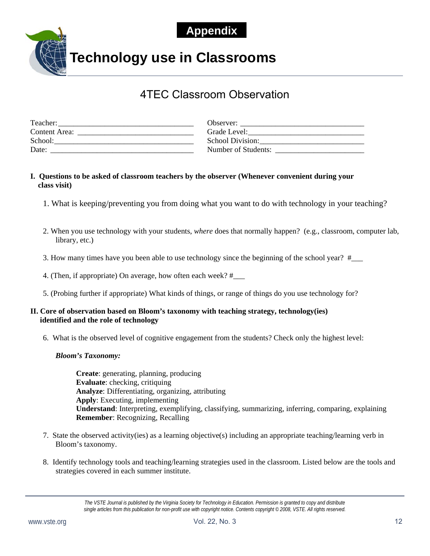## **Appendix**



**Technology use in Classrooms** 

## 4TEC Classroom Observation

| Teacher:             | Observer:           |
|----------------------|---------------------|
| <b>Content Area:</b> | Grade Level:        |
| School:              | School Division:    |
| Date:                | Number of Students: |

#### **I. Questions to be asked of classroom teachers by the observer (Whenever convenient during your class visit)**

- 1. What is keeping/preventing you from doing what you want to do with technology in your teaching?
- 2. When you use technology with your students, *where* does that normally happen? (e.g., classroom, computer lab, library, etc.)
- 3. How many times have you been able to use technology since the beginning of the school year? #\_\_\_
- 4. (Then, if appropriate) On average, how often each week? #\_\_\_
- 5. (Probing further if appropriate) What kinds of things, or range of things do you use technology for?

#### **II. Core of observation based on Bloom's taxonomy with teaching strategy, technology(ies) identified and the role of technology**

6. What is the observed level of cognitive engagement from the students? Check only the highest level:

#### *Bloom's Taxonomy:*

 **Create**: generating, planning, producing **Evaluate**: checking, critiquing **Analyze**: Differentiating, organizing, attributing **Apply**: Executing, implementing **Understand**: Interpreting, exemplifying, classifying, summarizing, inferring, comparing, explaining **Remember**: Recognizing, Recalling

- 7. State the observed activity(ies) as a learning objective(s) including an appropriate teaching/learning verb in Bloom's taxonomy.
- 8. Identify technology tools and teaching/learning strategies used in the classroom. Listed below are the tools and strategies covered in each summer institute.

*The VSTE Journal is published by the Virginia Society for Technology in Education. Permission is granted to copy and distribute single articles from this publication for non-profit use with copyright notice. Contents copyright © 2008, VSTE. All rights reserved.*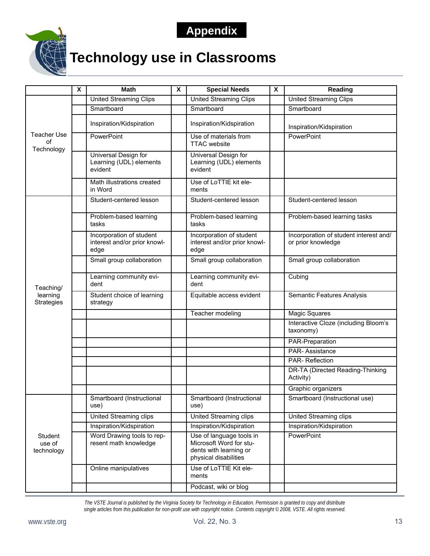## **Appendix**



# **Technology use in Classrooms**

|                                 | X | <b>Math</b>                                                      | X | <b>Special Needs</b>                                                                                   | X | Reading                                                      |
|---------------------------------|---|------------------------------------------------------------------|---|--------------------------------------------------------------------------------------------------------|---|--------------------------------------------------------------|
|                                 |   | <b>United Streaming Clips</b>                                    |   | <b>United Streaming Clips</b>                                                                          |   | <b>United Streaming Clips</b>                                |
|                                 |   | Smartboard                                                       |   | Smartboard                                                                                             |   | Smartboard                                                   |
|                                 |   | Inspiration/Kidspiration                                         |   | Inspiration/Kidspiration                                                                               |   | Inspiration/Kidspiration                                     |
| Teacher Use<br>οf<br>Technology |   | PowerPoint                                                       |   | Use of materials from<br><b>TTAC</b> website                                                           |   | PowerPoint                                                   |
|                                 |   | Universal Design for<br>Learning (UDL) elements<br>evident       |   | Universal Design for<br>Learning (UDL) elements<br>evident                                             |   |                                                              |
|                                 |   | Math illustrations created<br>in Word                            |   | Use of LoTTIE kit ele-<br>ments                                                                        |   |                                                              |
|                                 |   | Student-centered lesson                                          |   | Student-centered lesson                                                                                |   | Student-centered lesson                                      |
|                                 |   | Problem-based learning<br>tasks                                  |   | Problem-based learning<br>tasks                                                                        |   | Problem-based learning tasks                                 |
|                                 |   | Incorporation of student<br>interest and/or prior knowl-<br>edge |   | Incorporation of student<br>interest and/or prior knowl-<br>edge                                       |   | Incorporation of student interest and/<br>or prior knowledge |
|                                 |   | Small group collaboration                                        |   | Small group collaboration                                                                              |   | Small group collaboration                                    |
| Teaching/                       |   | Learning community evi-<br>dent                                  |   | Learning community evi-<br>dent                                                                        |   | Cubing                                                       |
| learning<br><b>Strategies</b>   |   | Student choice of learning<br>strategy                           |   | Equitable access evident                                                                               |   | Semantic Features Analysis                                   |
|                                 |   |                                                                  |   | Teacher modeling                                                                                       |   | <b>Magic Squares</b>                                         |
|                                 |   |                                                                  |   |                                                                                                        |   | Interactive Cloze (including Bloom's<br>taxonomy)            |
|                                 |   |                                                                  |   |                                                                                                        |   | PAR-Preparation                                              |
|                                 |   |                                                                  |   |                                                                                                        |   | <b>PAR-Assistance</b>                                        |
|                                 |   |                                                                  |   |                                                                                                        |   | <b>PAR-Reflection</b>                                        |
|                                 |   |                                                                  |   |                                                                                                        |   | DR-TA (Directed Reading-Thinking<br>Activity)                |
|                                 |   |                                                                  |   |                                                                                                        |   | Graphic organizers                                           |
|                                 |   | Smartboard (Instructional<br>use)                                |   | Smartboard (Instructional<br>use)                                                                      |   | Smartboard (Instructional use)                               |
|                                 |   | United Streaming clips                                           |   | <b>United Streaming clips</b>                                                                          |   | United Streaming clips                                       |
|                                 |   | Inspiration/Kidspiration                                         |   | Inspiration/Kidspiration                                                                               |   | Inspiration/Kidspiration                                     |
| Student<br>use of<br>technology |   | Word Drawing tools to rep-<br>resent math knowledge              |   | Use of language tools in<br>Microsoft Word for stu-<br>dents with learning or<br>physical disabilities |   | PowerPoint                                                   |
|                                 |   | Online manipulatives                                             |   | Use of LoTTIE Kit ele-<br>ments                                                                        |   |                                                              |
|                                 |   |                                                                  |   | Podcast, wiki or blog                                                                                  |   |                                                              |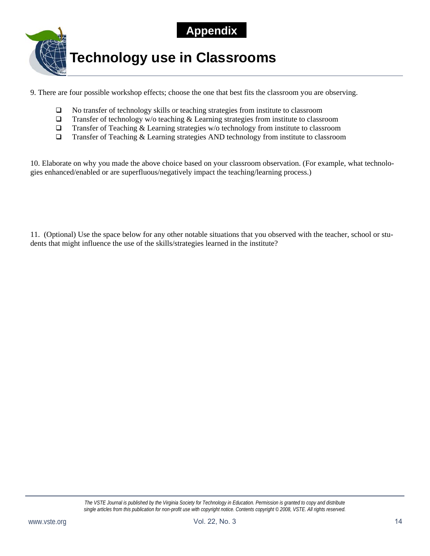



9. There are four possible workshop effects; choose the one that best fits the classroom you are observing.

- No transfer of technology skills or teaching strategies from institute to classroom
- $\Box$  Transfer of technology w/o teaching & Learning strategies from institute to classroom
- $\Box$  Transfer of Teaching & Learning strategies w/o technology from institute to classroom
- $\Box$  Transfer of Teaching & Learning strategies AND technology from institute to classroom

10. Elaborate on why you made the above choice based on your classroom observation. (For example, what technologies enhanced/enabled or are superfluous/negatively impact the teaching/learning process.)

11. (Optional) Use the space below for any other notable situations that you observed with the teacher, school or students that might influence the use of the skills/strategies learned in the institute?